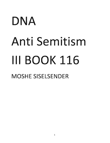## DNA Anti Semitism III BOOK 116 MOSHE SISELSENDER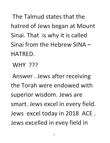**The Talmud states that the**  hatred of Jews began at Mount Sinai. That is why it is called **Sinai from the Hebrew SINA-HATRED.** 

**WHY ???** 

**Answer. Jews after receiving the Torah were endowed with superior wisdom. Jews are**  smart. Jews excel in every field. Jews excel today in 2018 ACE. Jews excelled in evey field in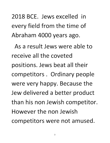2018 BCE. Jews excelled in every field from the time of Abraham 4000 years ago.

As a result Jews were able to receive all the coveted positions. Jews beat all their competitors. Ordinary people were very happy. Because the Jew delivered a better product than his non Jewish competitor. However the non Jewish competitors were not amused.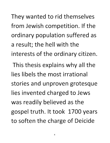They wanted to rid themselves from Jewish competition. If the ordinary population suffered as **a result; the hell with the**  interests of the ordinary citizen. This thesis explains why all the **lies libels the most irrational stories and unproven grotesque**  lies invented charged to Jews was readily believed as the gospel truth. It took 1700 years to soften the charge of Deicide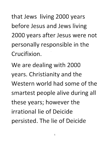that Jews living 2000 years before Jesus and Jews living 2000 years after Jesus were not personally responsible in the **Crucifixion.** 

We are dealing with 2000 **years. Christianity and the Western world had some of the smartest people alive during all**  these years; however the **irrational lie of Deicide** persisted. The lie of Deicide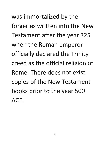was immortalized by the forgeries written into the New Testament after the year 325 when the Roman emperor officially declared the Trinity creed as the official religion of **Rome. There does not exist**  copies of the New Testament **books prior to the year 500 ACE.**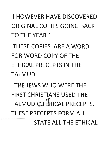I HOWEVER HAVE DISCOVERED ORIGINAL COPIES GOING BACK TO THE YEAR 1

THESE COPIES ARE A WORD FOR WORD COpy OF THE ETHICAL PRECEPTS IN THE TALMUD.

THE JEWS WHO WERE THE FIRST CHRISTIANS USED THE TALMUDICTEHICAL PRECEPTS. THESE PRECEPTS FORM ALL STATE ALL THE ETHICAL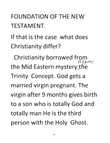## FOUNDATION OF THE NEW TESTAMENT.

If that is the case what does Christianity differ?

Christianity borrowed from  $ell$ *gions* the Mid Eastern mystery the Trinity Concept. God gets a married virgin pregnant. The virgin after 9 months gives birth to a son who is totally God and totally man He is the third person with the Holy Ghost.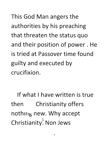This God Man angers the authorities by his preaching that threaten the status quo and their position of power. He **is tried at Passover time found**  guilty and executed by **crucifixion.** 

If what I have written is true<br>then Christianity offers Christianity offers nothing new. Why accept Christianity<sup>2</sup> Non Jews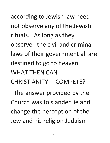according to Jewish law need not observe any of the Jewish rituals. As long as they **observe the civil and criminal**  laws of their government all are destined to go to heaven. WHAT **THEN** CAN **CHRISTIANITY COMPETE?** 

The answer provided by the **Church was to slander lie and**  change the perception of the Jew and his religion Judaism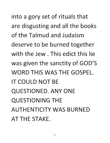into a gory set of rituals that are disgusting and all the books of the Talmud and Judaism deserve to be burned together with the Jew. This edict this lie was given the sanctity of GOD'S WORD THIS WAS THE GOSPEL. IT COULD NOT BE QUESTIONED. ANY ONE QUESTIONING THE AUTHENTICITY WAS BURNED AT THE STAKE.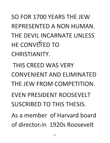SO FOR 1700 YEARS THE JEW REPRESENTED A NON HUMAN. THE DEVIL INCARNATE UNLESS HE CONVETTED TO CHRISTIANITY.

THIS CREED WAS VERY CONVENIENT AND ELIMINATED THE JEW FROM COMPETITION. EVEN PRESIDENT ROOSEVELT SUSCRIBED TO THIS THESIS. As a member of Harvard board

of director, in 1920s Roosevelt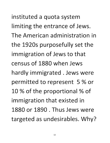instituted a quota system limiting the entrance of Jews. The American administration in the 1920s purposefully set the immigration of Jews to that census of 1880 when Jews hardly immigrated. Jews were permitted to represent 5 % or 10 % of the proportional % of immigration that existed in 1880 or 1890 . Thus Jews were targeted as undesirables. Why?